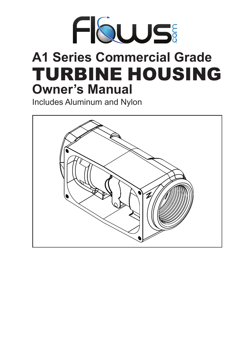

# **A1 Series Commercial Grade** TURBINE HOUSING **Owner's Manual**

Includes Aluminum and Nylon

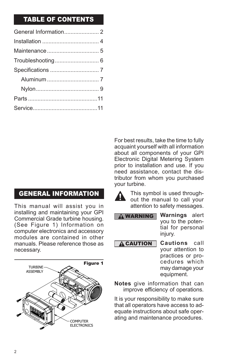### TABLE OF CONTENTS

GENERAL INFORMATION

This manual will assist you in installing and maintaining your GPI Commercial Grade turbine housing. (See Figure 1) Information on computer electronics and accessory modules are contained in other manuals. Please reference those as necessary.



For best results, take the time to fully acquaint yourself with all information about all components of your GPI Electronic Digital Metering System prior to installation and use. If you need assistance, contact the distributor from whom you purchased your turbine.



This symbol is used throughout the manual to call your attention to safety messages.



**A CAUTION** 

**Cautions** call your attention to practices or procedures which may damage your equipment.

**Notes** give information that can improve efficiency of operations.

It is your responsibility to make sure that all operators have access to adequate instructions about safe operating and maintenance procedures.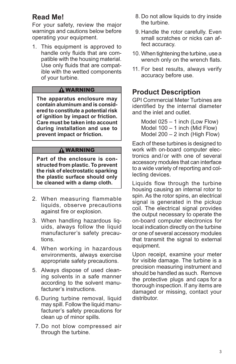### **Read Me!**

For your safety, review the major warnings and cautions below before operating your equipment.

1. This equipment is approved to handle only fluids that are compatible with the housing material. Use only fluids that are compatible with the wetted components of your turbine.

#### **A** WARNING

**The apparatus enclosure may contain aluminum and is consid‑ ered to constitute a potential risk of ignition by impact or friction. Care must be taken into account during installation and use to prevent impact or friction.**

#### **A WARNING**

**Part of the enclosure is con‑ structed from plastic. To prevent the risk of electrostatic sparking the plastic surface should only be cleaned with a damp cloth.**

- 2. When measuring flammable liquids, observe precautions against fire or explosion.
- 3. When handling hazardous liquids, always follow the liquid manufacturer's safety precautions.
- 4. When working in hazardous environments, always exercise appropriate safety precautions.
- 5. Always dispose of used cleaning solvents in a safe manner according to the solvent manufacturer's instructions.
	- 6. During turbine removal, liquid may spill. Follow the liquid manufacturer's safety precautions for clean up of minor spills.
	- 7. Do not blow compressed air through the turbine.
- 8. Do not allow liquids to dry inside the turbine.
- 9. Handle the rotor carefully. Even small scratches or nicks can affect accuracy.
- 10. When tightening the turbine, use a wrench only on the wrench flats.
- 11. For best results, always verify accuracy before use.

### **Product Description**

GPI Commercial Meter Turbines are identified by the internal diameter and the inlet and outlet.

Model 025 – 1 inch (Low Flow) Model 100 – 1 inch (Mid Flow) Model 200 – 2 inch (High Flow)

Each of these turbines is designed to work with on-board computer electronics and/or with one of several accessory modules that can interface to a wide variety of reporting and collecting devices.

Liquids flow through the turbine housing causing an internal rotor to spin. As the rotor spins, an electrical signal is generated in the pickup coil. The electrical signal provides the output necessary to operate the on-board computer electronics for local indication directly on the turbine or one of several accessory modules that transmit the signal to external equipment.

Upon receipt, examine your meter for visible damage. The turbine is a precision measuring instrument and should be handled as such. Remove the protective plugs and caps for a thorough inspection. If any items are damaged or missing, contact your distributor.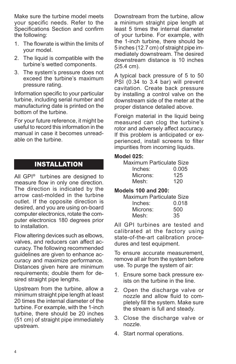Make sure the turbine model meets your specific needs. Refer to the Specifications Section and confirm the following:

- 1. The flowrate is within the limits of your model.
- 2. The liquid is compatible with the turbine's wetted components.
- 3. The system's pressure does not exceed the turbine's maximum pressure rating.

Information specific to your particular turbine, including serial number and manufacturing date is printed on the bottom of the turbine.

For your future reference, it might be useful to record this information in the manual in case it becomes unreadable on the turbine.

### INSTALLATION

All GPI**®** turbines are designed to measure flow in only one direction. The direction is indicated by the arrow cast-molded in the turbine outlet. If the opposite direction is desired, and you are using on-board computer electronics, rotate the computer electronics 180 degrees prior to installation.

Flow altering devices such as elbows, valves, and reducers can affect accuracy. The following recommended guidelines are given to enhance accuracy and maximize performance. Distances given here are minimum requirements; double them for desired straight pipe lengths.

Upstream from the turbine, allow a minimum straight pipe length at least 20 times the internal diameter of the turbine. For example, with the 1-inch turbine, there should be 20 inches (51 cm) of straight pipe immediately upstream.

Downstream from the turbine, allow a minimum straight pipe length at least 5 times the internal diameter of your turbine. For example, with the 1-inch turbine, there should be 5 inches (12.7 cm) of straight pipe immediately downstream. The desired downstream distance is 10 inches (25.4 cm).

A typical back pressure of 5 to 50 PSI (0.34 to 3.4 bar) will prevent cavitation. Create back pressure by installing a control valve on the downstream side of the meter at the proper distance detailed above.

Foreign material in the liquid being measured can clog the turbine's rotor and adversely affect accuracy. If this problem is anticipated or experienced, install screens to filter impurities from incoming liquids.

#### **Model 025:**

| Maximum Particulate Size |       |
|--------------------------|-------|
| Inches:                  | 0.005 |
| Microns:                 | 125   |
| Mesh:                    | 120   |

#### **Models 100 and 200:**

| Maximum Particulate Size |       |  |
|--------------------------|-------|--|
| Inches:                  | 0.018 |  |
| Microns:                 | 500   |  |
| Mesh:                    | 35    |  |

All GPI turbines are tested and calibrated at the factory using state-of-the-art calibration procedures and test equipment.

To ensure accurate measurement, remove all air from the system before use. To purge the system of air:

- 1. Ensure some back pressure exists on the turbine in the line.
- 2. Open the discharge valve or nozzle and allow fluid to completely fill the system. Make sure the stream is full and steady.
- 3. Close the discharge valve or nozzle.
- 4. Start normal operations.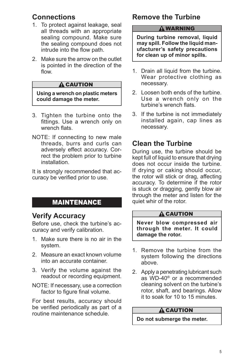### **Connections**

- 1. To protect against leakage, seal all threads with an appropriate sealing compound. Make sure the sealing compound does not intrude into the flow path.
- 2. Make sure the arrow on the outlet is pointed in the direction of the flow.

#### **A** CAUTION

**Using a wrench on plastic meters could damage the meter.**

- 3. Tighten the turbine onto the fittings. Use a wrench only on wrench flats.
- NOTE: If connecting to new male threads, burrs and curls can adversely effect accuracy. Correct the problem prior to turbine installation.

It is strongly recommended that accuracy be verified prior to use.

### MAINTENANCE

### **Verify Accuracy**

Before use, check the turbine's accuracy and verify calibration.

- 1. Make sure there is no air in the system.
- 2. Measure an exact known volume into an accurate container.
- 3. Verify the volume against the readout or recording equipment.
- NOTE: If necessary, use a correction factor to figure final volume.

For best results, accuracy should be verified periodically as part of a routine maintenance schedule.

### **Remove the Turbine**

#### **A WARNING**

**During turbine removal, liquid may spill. Follow the liquid man‑ ufacturer's safety precautions for clean up of minor spills.**

- 1. Drain all liquid from the turbine. Wear protective clothing as necessary.
- 2. Loosen both ends of the turbine. Use a wrench only on the turbine's wrench flats.
- 3. If the turbine is not immediately installed again, cap lines as necessary.

### **Clean the Turbine**

During use, the turbine should be kept full of liquid to ensure that drying does not occur inside the turbine. If drying or caking should occur, the rotor will stick or drag, affecting accuracy. To determine if the rotor is stuck or dragging, gently blow air through the meter and listen for the quiet whir of the rotor.

#### **A** CAUTION

**Never blow compressed air through the meter. It could damage the rotor.**

- 1. Remove the turbine from the system following the directions above.
- 2. Apply a penetrating lubricant such as WD-40® or a recommended cleaning solvent on the turbine's rotor, shaft, and bearings. Allow it to soak for 10 to 15 minutes.

#### **A** CAUTION

**Do not submerge the meter.**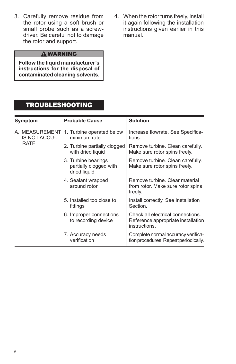- 3. Carefully remove residue from the rotor using a soft brush or small probe such as a screwdriver. Be careful not to damage the rotor and support.
- 4. When the rotor turns freely, install it again following the installation instructions given earlier in this manual.

### **A WARNING**

**Follow the liquid manufacturer's instructions for the disposal of contaminated cleaning solvents.**

### TROUBLESHOOTING

| Symptom                          | <b>Probable Cause</b>                                         | <b>Solution</b>                                                                          |
|----------------------------------|---------------------------------------------------------------|------------------------------------------------------------------------------------------|
| A. MEASUREMENTI<br>IS NOT ACCU-. | 1. Turbine operated below<br>minimum rate                     | Increase flowrate. See Specifica-<br>tions.                                              |
| <b>RATE</b>                      | 2. Turbine partially clogged<br>with dried liquid             | Remove turbine. Clean carefully.<br>Make sure rotor spins freely.                        |
|                                  | 3. Turbine bearings<br>partially clogged with<br>dried liquid | Remove turbine. Clean carefully.<br>Make sure rotor spins freely.                        |
|                                  | 4. Sealant wrapped<br>around rotor                            | Remove turbine. Clear material<br>from rotor. Make sure rotor spins<br>freely.           |
|                                  | 5. Installed too close to<br>fittings                         | Install correctly. See Installation<br>Section.                                          |
|                                  | 6. Improper connections<br>to recording device                | Check all electrical connections.<br>Reference appropriate installation<br>instructions. |
|                                  | 7. Accuracy needs<br>verification                             | Complete normal accuracy verifica-<br>tion procedures. Repeat periodically.              |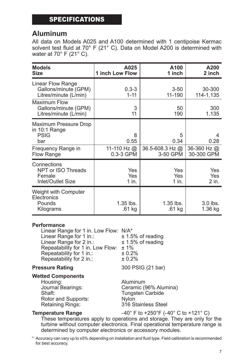### SPECIFICATIONS

### **Aluminum**

All data on Models A025 and A100 determined with 1 centipoise Kermac solvent test fluid at 70° F (21° C). Data on Model A200 is determined with water at 70° F (21° C).

| <b>Models</b><br><b>Size</b>                                                                            | A025<br><b>1 inch Low Flow</b>          | A100<br>1 inch                             | A200<br>2 inch                    |
|---------------------------------------------------------------------------------------------------------|-----------------------------------------|--------------------------------------------|-----------------------------------|
| Linear Flow Range<br>Gallons/minute (GPM)<br>Litres/minute (L/min)                                      | $0.3 - 3$<br>$1 - 11$                   | $3 - 50$<br>11-190                         | 30-300<br>114-1,135               |
| <b>Maximum Flow</b><br>Gallons/minute (GPM)<br>Litres/minute (L/min)                                    | 3<br>11                                 | 50<br>190                                  | 300<br>1,135                      |
| Maximum Pressure Drop<br>in 10:1 Range<br><b>PSIG</b><br>bar<br>Frequency Range in<br><b>Flow Range</b> | 8<br>0.55<br>11-110 Hz $@$<br>0.3-3 GPM | 5<br>0.34<br>36.5-608.3 Hz $@$<br>3-50 GPM | 0.28<br>36-360 Hz @<br>30-300 GPM |
| Connections<br>NPT or ISO Threads<br>Female<br>Inlet/Outlet Size                                        | Yes<br>Yes<br>1 in.                     | Yes<br>Yes<br>1 in.                        | Yes<br>Yes<br>2 in.               |
| Weight with Computer<br>Electronics<br>Pounds<br>Kilograms                                              | $1.35$ lbs.<br>.61 kg                   | $1.35$ lbs.<br>.61 kg                      | $3.0$ lbs.<br>1.36 kg             |

#### **Performance**

Linear Range for 1 in. Low Flow: N/A\*<br>Linear Range for 1 in.: <br>
± 1.5% of reading Linear Range for 1 in.:  $\qquad \qquad \pm 1.5\%$  of reading<br>Linear Range for 2 in.:  $\qquad \qquad \pm 1.5\%$  of reading Linear Range for 2 in.: Repeatability for 1 in. Low Flow:  $\pm 1\%$ <br>Repeatability for 1 in.:  $\pm 0.2\%$ Repeatability for 1 in.:  $\pm 0.2\%$ <br>Repeatability for 2 in.:  $\pm 0.2\%$ Repeatability for 2 in.:

#### **Pressure Rating 200 PSIG (21 bar)**

#### **Wetted Components**

Housing: Aluminum Rotor and Supports: Retaining Rings: 316 Stainless Steel

Journal Bearings: Ceramic (96% Alumina) Tungsten Carbide<br>Nylon

**Temperature Range**  $-40^{\circ}$  F to  $+250^{\circ}$  F (-40° C to  $+121^{\circ}$  C)

These temperatures apply to operations and storage. They are only for the turbine without computer electronics. Final operational temperature range is determined by computer electronics or accessory modules.

\* Accuracy can vary up to ±5% depending on installation and fluid type. Field calibration is recommended for best accuracy.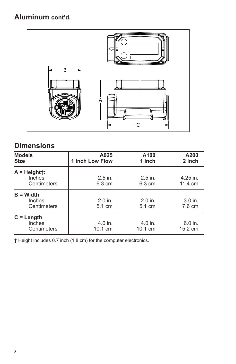**Aluminum cont'd.**



### **Dimensions**

| <b>Models</b><br><b>Size</b>            | A025<br>1 inch Low Flow       | A100<br>1 inch                | A200<br>2 inch       |
|-----------------------------------------|-------------------------------|-------------------------------|----------------------|
| $A = Height$ :<br>Inches<br>Centimeters | $2.5$ in.<br>$6.3 \text{ cm}$ | $2.5$ in.<br>$6.3 \text{ cm}$ | 4.25 in.<br>11.4 cm  |
| $B = Width$<br>Inches<br>Centimeters    | $2.0$ in.<br>$5.1 \text{ cm}$ | 2.0 in.<br>$5.1 \text{ cm}$   | $3.0$ in.<br>7.6 cm  |
| $C = Length$<br>Inches<br>Centimeters   | 4.0 in.<br>$10.1 \text{ cm}$  | 4.0 in.<br>$10.1 \text{ cm}$  | $6.0$ in.<br>15.2 cm |

**†** Height includes 0.7 inch (1.8 cm) for the computer electronics.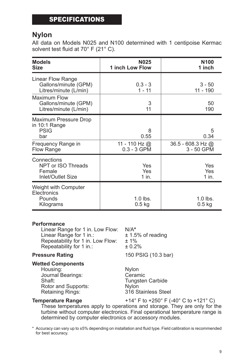### SPECIFICATIONS

### **Nylon**

All data on Models N025 and N100 determined with 1 centipoise Kermac solvent test fluid at 70° F (21° C).

| <b>Models</b><br><b>Size</b>                                                                            | <b>N025</b><br>1 inch Low Flow              | N <sub>100</sub><br>1 inch                     |
|---------------------------------------------------------------------------------------------------------|---------------------------------------------|------------------------------------------------|
| Linear Flow Range<br>Gallons/minute (GPM)<br>Litres/minute (L/min)                                      | $0.3 - 3$<br>$1 - 11$                       | $3 - 50$<br>11 - 190                           |
| <b>Maximum Flow</b><br>Gallons/minute (GPM)<br>Litres/minute (L/min)                                    | 3<br>11                                     | 50<br>190                                      |
| Maximum Pressure Drop<br>in 10:1 Range<br><b>PSIG</b><br>bar<br>Frequency Range in<br><b>Flow Range</b> | 8<br>0.55<br>11 - 110 Hz @<br>$0.3 - 3$ GPM | 5<br>0.34<br>36.5 - 608.3 Hz $@$<br>3 - 50 GPM |
| Connections<br>NPT or ISO Threads<br>Female<br>Inlet/Outlet Size                                        | Yes<br>Yes<br>1 in.                         | Yes<br>Yes<br>1 in.                            |
| Weight with Computer<br>Electronics<br>Pounds<br>Kilograms                                              | $1.0$ lbs.<br>$0.5$ kg                      | $1.0$ lbs.<br>$0.5$ kg                         |

#### **Performance**

Linear Range for 1 in. Low Flow: N/A**\*** Linear Range for 1 in.:  $\pm 1.5$ <br>Repeatability for 1 in. Low Flow:  $\pm 1\%$ Repeatability for 1 in. Low Flow: Repeatability for 1 in.:  $\pm 0.2\%$ 

**Pressure Rating 150 PSIG (10.3 bar)** 

#### **Wetted Components**

Housing: Nylon Journal Bearings: Ceramic Rotor and Supports: Retaining Rings: 316 Stainless Steel

Tungsten Carbide<br>Nylon

**Temperature Range**  $+14^{\circ}$  F to  $+250^{\circ}$  F (-40° C to  $+121^{\circ}$  C)

These temperatures apply to operations and storage. They are only for the turbine without computer electronics. Final operational temperature range is determined by computer electronics or accessory modules.

\* Accuracy can vary up to ±5% depending on installation and fluid type. Field calibration is recommended for best accuracy.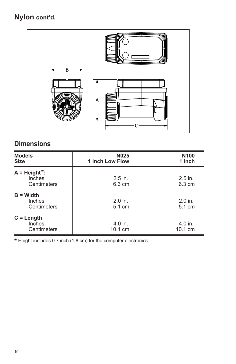## **Nylon cont'd.**



## **Dimensions**

| <b>Models</b><br><b>Size</b>             | <b>N025</b><br>1 inch Low Flow | N <sub>100</sub><br>1 inch    |
|------------------------------------------|--------------------------------|-------------------------------|
| $A = Height$ *:<br>Inches<br>Centimeters | $2.5$ in.<br>$6.3 \text{ cm}$  | $2.5$ in.<br>$6.3 \text{ cm}$ |
| $B = Width$<br>Inches<br>Centimeters     | $2.0$ in.<br>5.1 cm            | $2.0$ in.<br>5.1 cm           |
| $C = Length$<br>Inches<br>Centimeters    | 4.0 in.<br>$10.1 \text{ cm}$   | 4.0 in.<br>$10.1 \text{ cm}$  |

**\*** Height includes 0.7 inch (1.8 cm) for the computer electronics.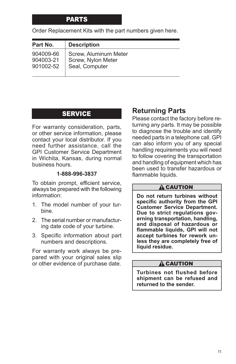### PARTS

Order Replacement Kits with the part numbers given here.

| Part No.  | <b>Description</b>    |
|-----------|-----------------------|
| 904009-66 | Screw, Aluminum Meter |
| 904003-21 | Screw, Nylon Meter    |
| 901002-52 | Seal, Computer        |

### **SERVICE**

For warranty consideration, parts, or other service information, please contact your local distributor. If you need further assistance, call the GPI Customer Service Department in Wichita, Kansas, during normal business hours.

#### **1‑888-996-3837**

To obtain prompt, efficient service, always be prepared with the following information:

- 1. The model number of your turbine.
- 2. The serial number or manufacturing date code of your turbine.
- 3. Specific information about part numbers and descriptions.

For warranty work always be prepared with your original sales slip or other evidence of purchase date.

### **Returning Parts**

Please contact the factory before returning any parts. It may be possible to diagnose the trouble and identify needed parts in a telephone call. GPI can also inform you of any special handling requirements you will need to follow covering the transportation and handling of equipment which has been used to transfer hazardous or flammable liquids.

#### $\triangle$  CAUTION

**Do not return turbines without specific authority from the GPI Customer Service Department. Due to strict regulations gov‑ erning transportation, handling, and disposal of hazardous or flammable liquids, GPI will not accept turbines for rework un‑ less they are completely free of liquid residue.**

#### **A CAUTION**

**Turbines not flushed before shipment can be refused and returned to the sender.**